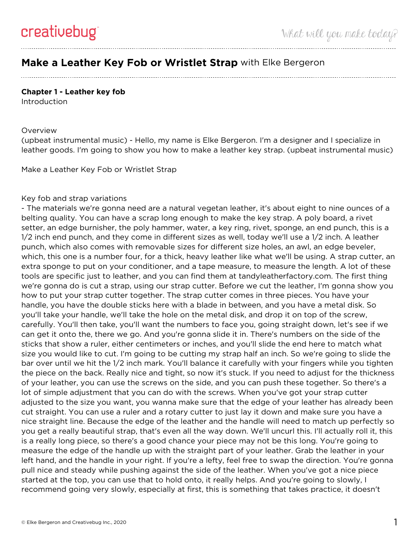## **Make a Leather Key Fob or Wristlet Strap** with Elke Bergeron

## **Chapter 1 - Leather key fob**

**Introduction** 

## **Overview**

(upbeat instrumental music) - Hello, my name is Elke Bergeron. I'm a designer and I specialize in leather goods. I'm going to show you how to make a leather key strap. (upbeat instrumental music)

Make a Leather Key Fob or Wristlet Strap

## Key fob and strap variations

- The materials we're gonna need are a natural vegetan leather, it's about eight to nine ounces of a belting quality. You can have a scrap long enough to make the key strap. A poly board, a rivet setter, an edge burnisher, the poly hammer, water, a key ring, rivet, sponge, an end punch, this is a 1/2 inch end punch, and they come in different sizes as well, today we'll use a 1/2 inch. A leather punch, which also comes with removable sizes for different size holes, an awl, an edge beveler, which, this one is a number four, for a thick, heavy leather like what we'll be using. A strap cutter, an extra sponge to put on your conditioner, and a tape measure, to measure the length. A lot of these tools are specific just to leather, and you can find them at tandyleatherfactory.com. The first thing we're gonna do is cut a strap, using our strap cutter. Before we cut the leather, I'm gonna show you how to put your strap cutter together. The strap cutter comes in three pieces. You have your handle, you have the double sticks here with a blade in between, and you have a metal disk. So you'll take your handle, we'll take the hole on the metal disk, and drop it on top of the screw, carefully. You'll then take, you'll want the numbers to face you, going straight down, let's see if we can get it onto the, there we go. And you're gonna slide it in. There's numbers on the side of the sticks that show a ruler, either centimeters or inches, and you'll slide the end here to match what size you would like to cut. I'm going to be cutting my strap half an inch. So we're going to slide the bar over until we hit the 1/2 inch mark. You'll balance it carefully with your fingers while you tighten the piece on the back. Really nice and tight, so now it's stuck. If you need to adjust for the thickness of your leather, you can use the screws on the side, and you can push these together. So there's a lot of simple adjustment that you can do with the screws. When you've got your strap cutter adjusted to the size you want, you wanna make sure that the edge of your leather has already been cut straight. You can use a ruler and a rotary cutter to just lay it down and make sure you have a nice straight line. Because the edge of the leather and the handle will need to match up perfectly so you get a really beautiful strap, that's even all the way down. We'll uncurl this. I'll actually roll it, this is a really long piece, so there's a good chance your piece may not be this long. You're going to measure the edge of the handle up with the straight part of your leather. Grab the leather in your left hand, and the handle in your right. If you're a lefty, feel free to swap the direction. You're gonna pull nice and steady while pushing against the side of the leather. When you've got a nice piece started at the top, you can use that to hold onto, it really helps. And you're going to slowly, I recommend going very slowly, especially at first, this is something that takes practice, it doesn't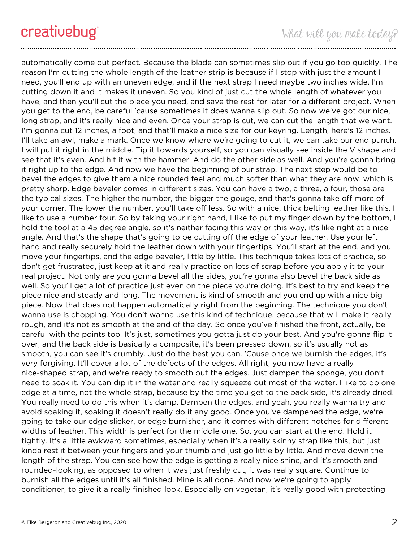automatically come out perfect. Because the blade can sometimes slip out if you go too quickly. The reason I'm cutting the whole length of the leather strip is because if I stop with just the amount I need, you'll end up with an uneven edge, and if the next strap I need maybe two inches wide, I'm cutting down it and it makes it uneven. So you kind of just cut the whole length of whatever you have, and then you'll cut the piece you need, and save the rest for later for a different project. When you get to the end, be careful 'cause sometimes it does wanna slip out. So now we've got our nice, long strap, and it's really nice and even. Once your strap is cut, we can cut the length that we want. I'm gonna cut 12 inches, a foot, and that'll make a nice size for our keyring. Length, here's 12 inches. I'll take an awl, make a mark. Once we know where we're going to cut it, we can take our end punch. I will put it right in the middle. Tip it towards yourself, so you can visually see inside the V shape and see that it's even. And hit it with the hammer. And do the other side as well. And you're gonna bring it right up to the edge. And now we have the beginning of our strap. The next step would be to bevel the edges to give them a nice rounded feel and much softer than what they are now, which is pretty sharp. Edge beveler comes in different sizes. You can have a two, a three, a four, those are the typical sizes. The higher the number, the bigger the gouge, and that's gonna take off more of your corner. The lower the number, you'll take off less. So with a nice, thick belting leather like this, I like to use a number four. So by taking your right hand, I like to put my finger down by the bottom, I hold the tool at a 45 degree angle, so it's neither facing this way or this way, it's like right at a nice angle. And that's the shape that's going to be cutting off the edge of your leather. Use your left hand and really securely hold the leather down with your fingertips. You'll start at the end, and you move your fingertips, and the edge beveler, little by little. This technique takes lots of practice, so don't get frustrated, just keep at it and really practice on lots of scrap before you apply it to your real project. Not only are you gonna bevel all the sides, you're gonna also bevel the back side as well. So you'll get a lot of practice just even on the piece you're doing. It's best to try and keep the piece nice and steady and long. The movement is kind of smooth and you end up with a nice big piece. Now that does not happen automatically right from the beginning. The technique you don't wanna use is chopping. You don't wanna use this kind of technique, because that will make it really rough, and it's not as smooth at the end of the day. So once you've finished the front, actually, be careful with the points too. It's just, sometimes you gotta just do your best. And you're gonna flip it over, and the back side is basically a composite, it's been pressed down, so it's usually not as smooth, you can see it's crumbly. Just do the best you can. 'Cause once we burnish the edges, it's very forgiving. It'll cover a lot of the defects of the edges. All right, you now have a really nice-shaped strap, and we're ready to smooth out the edges. Just dampen the sponge, you don't need to soak it. You can dip it in the water and really squeeze out most of the water. I like to do one edge at a time, not the whole strap, because by the time you get to the back side, it's already dried. You really need to do this when it's damp. Dampen the edges, and yeah, you really wanna try and avoid soaking it, soaking it doesn't really do it any good. Once you've dampened the edge, we're going to take our edge slicker, or edge burnisher, and it comes with different notches for different widths of leather. This width is perfect for the middle one. So, you can start at the end. Hold it tightly. It's a little awkward sometimes, especially when it's a really skinny strap like this, but just kinda rest it between your fingers and your thumb and just go little by little. And move down the length of the strap. You can see how the edge is getting a really nice shine, and it's smooth and rounded-looking, as opposed to when it was just freshly cut, it was really square. Continue to burnish all the edges until it's all finished. Mine is all done. And now we're going to apply conditioner, to give it a really finished look. Especially on vegetan, it's really good with protecting